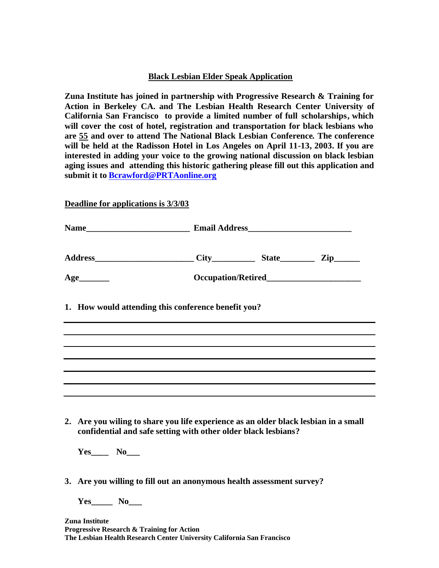## **Black Lesbian Elder Speak Application**

**Zuna Institute has joined in partnership with Progressive Research & Training for Action in Berkeley CA. and The Lesbian Health Research Center University of California San Francisco to provide a limited number of full scholarships, which will cover the cost of hotel, registration and transportation for black lesbians who are 55 and over to attend The National Black Lesbian Conference. The conference will be held at the Radisson Hotel in Los Angeles on April 11-13, 2003. If you are interested in adding your voice to the growing national discussion on black lesbian aging issues and attending this historic gathering please fill out this application and submit it to Bcrawford@PRTAonline.org** 

**Deadline for applications is 3/3/03**

**Progressive Research & Training for Action** 

**The Lesbian Health Research Center University California San Francisco**

|  | $Age$ <sub>__________</sub>                                                                                                                           |  |  |  |
|--|-------------------------------------------------------------------------------------------------------------------------------------------------------|--|--|--|
|  | 1. How would attending this conference benefit you?                                                                                                   |  |  |  |
|  |                                                                                                                                                       |  |  |  |
|  |                                                                                                                                                       |  |  |  |
|  |                                                                                                                                                       |  |  |  |
|  |                                                                                                                                                       |  |  |  |
|  | 2. Are you wiling to share you life experience as an older black lesbian in a small<br>confidential and safe setting with other older black lesbians? |  |  |  |
|  |                                                                                                                                                       |  |  |  |
|  | 3. Are you willing to fill out an anonymous health assessment survey?                                                                                 |  |  |  |
|  |                                                                                                                                                       |  |  |  |
|  | Zuna Institute                                                                                                                                        |  |  |  |